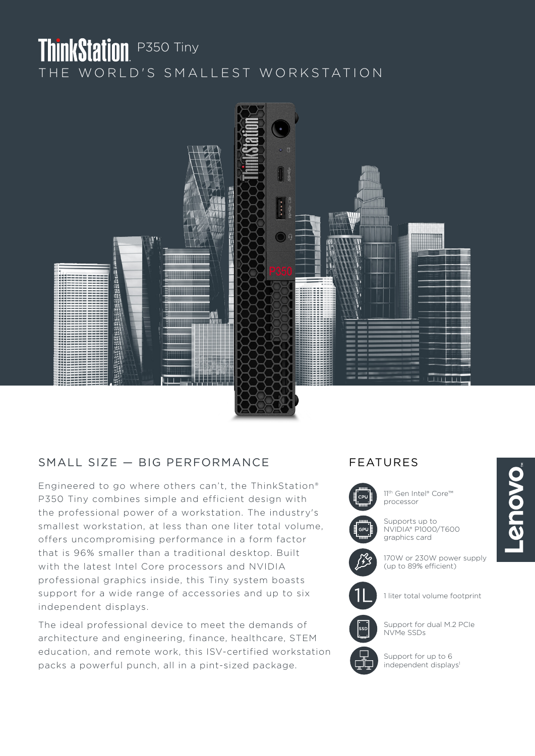# ThinkStation P350 Tiny THE WORLD'S SMALLEST WORKSTATION



## SMALL SIZE - BIG PERFORMANCE FEATURES

Engineered to go where others can't, the ThinkStation® P350 Tiny combines simple and efficient design with the professional power of a workstation. The industry's smallest workstation, at less than one liter total volume, offers uncompromising performance in a form factor that is 96% smaller than a traditional desktop. Built with the latest Intel Core processors and NVIDIA professional graphics inside, this Tiny system boasts support for a wide range of accessories and up to six independent displays.

The ideal professional device to meet the demands of architecture and engineering, finance, healthcare, STEM education, and remote work, this ISV-certified workstation packs a powerful punch, all in a pint-sized package.



11th Gen Intel® Core™ processor

Supports up to NVIDIA® P1000/T600 graphics card

170W or 230W power supply (up to 89% efficient)



1 liter total volume footprint



Support for dual M.2 PCIe NVMe SSDs

Support for up to 6 independent displays<sup>1</sup>